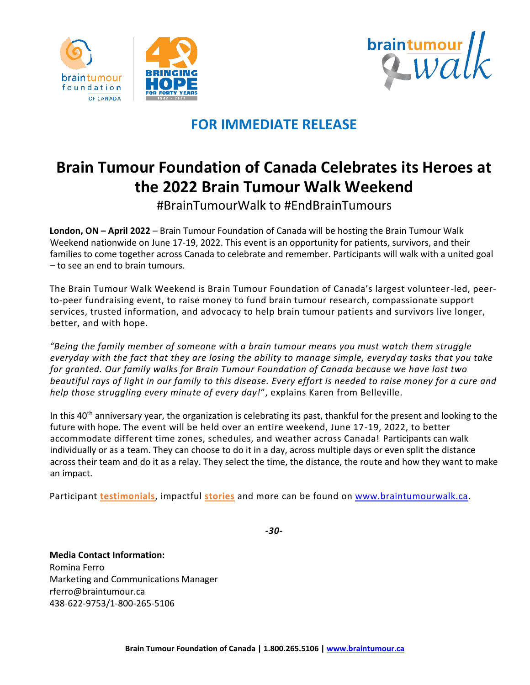





## **FOR IMMEDIATE RELEASE**

## **Brain Tumour Foundation of Canada Celebrates its Heroes at the 2022 Brain Tumour Walk Weekend**

#BrainTumourWalk to #EndBrainTumours

**London, ON – April 2022** – Brain Tumour Foundation of Canada will be hosting the Brain Tumour Walk Weekend nationwide on June 17-19, 2022. This event is an opportunity for patients, survivors, and their families to come together across Canada to celebrate and remember. Participants will walk with a united goal – to see an end to brain tumours.

The Brain Tumour Walk Weekend is Brain Tumour Foundation of Canada's largest volunteer-led, peerto-peer fundraising event, to raise money to fund brain tumour research, compassionate support services, trusted information, and advocacy to help brain tumour patients and survivors live longer, better, and with hope.

*"Being the family member of someone with a brain tumour means you must watch them struggle everyday with the fact that they are losing the ability to manage simple, everyday tasks that you take for granted. Our family walks for Brain Tumour Foundation of Canada because we have lost two beautiful rays of light in our family to this disease. Every effort is needed to raise money for a cure and help those struggling every minute of every day!*", explains Karen from Belleville.

In this 40<sup>th</sup> anniversary year, the organization is celebrating its past, thankful for the present and looking to the future with hope. The event will be held over an entire weekend, June 17-19, 2022, to better accommodate different time zones, schedules, and weather across Canada! Participants can walk individually or as a team. They can choose to do it in a day, across multiple days or even split the distance across their team and do it as a relay. They select the time, the distance, the route and how they want to make an impact.

Participant **[testimonials](https://braintumourwalk.ca/testimonials/)**, impactful **[stories](https://www.braintumour.ca/category/stories/?_ga=2.187606312.1882704782.1649782559-1282890255.1649782559)** and more can be found on [www.braintumourwalk.ca.](http://www.braintumourwalk.ca/)

*-30-*

**Media Contact Information:** Romina Ferro Marketing and Communications Manager rferro@braintumour.ca 438-622-9753[/1-800-265-5106](tel:18002655106)